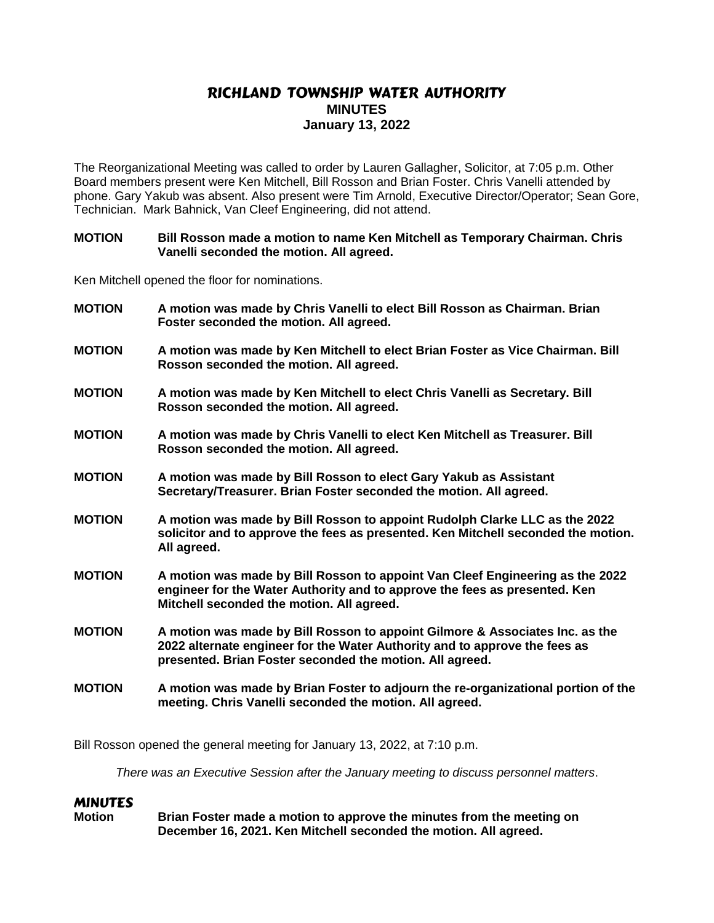# RICHLAND TOWNSHIP WATER AUTHORITY **MINUTES January 13, 2022**

The Reorganizational Meeting was called to order by Lauren Gallagher, Solicitor, at 7:05 p.m. Other Board members present were Ken Mitchell, Bill Rosson and Brian Foster. Chris Vanelli attended by phone. Gary Yakub was absent. Also present were Tim Arnold, Executive Director/Operator; Sean Gore, Technician. Mark Bahnick, Van Cleef Engineering, did not attend.

#### **MOTION Bill Rosson made a motion to name Ken Mitchell as Temporary Chairman. Chris Vanelli seconded the motion. All agreed.**

Ken Mitchell opened the floor for nominations.

| <b>MOTION</b> | A motion was made by Chris Vanelli to elect Bill Rosson as Chairman. Brian<br>Foster seconded the motion. All agreed.                                                                                                  |
|---------------|------------------------------------------------------------------------------------------------------------------------------------------------------------------------------------------------------------------------|
| <b>MOTION</b> | A motion was made by Ken Mitchell to elect Brian Foster as Vice Chairman. Bill<br>Rosson seconded the motion. All agreed.                                                                                              |
| <b>MOTION</b> | A motion was made by Ken Mitchell to elect Chris Vanelli as Secretary. Bill<br>Rosson seconded the motion. All agreed.                                                                                                 |
| <b>MOTION</b> | A motion was made by Chris Vanelli to elect Ken Mitchell as Treasurer. Bill<br>Rosson seconded the motion. All agreed.                                                                                                 |
| <b>MOTION</b> | A motion was made by Bill Rosson to elect Gary Yakub as Assistant<br>Secretary/Treasurer. Brian Foster seconded the motion. All agreed.                                                                                |
| <b>MOTION</b> | A motion was made by Bill Rosson to appoint Rudolph Clarke LLC as the 2022<br>solicitor and to approve the fees as presented. Ken Mitchell seconded the motion.<br>All agreed.                                         |
| <b>MOTION</b> | A motion was made by Bill Rosson to appoint Van Cleef Engineering as the 2022<br>engineer for the Water Authority and to approve the fees as presented. Ken<br>Mitchell seconded the motion. All agreed.               |
| <b>MOTION</b> | A motion was made by Bill Rosson to appoint Gilmore & Associates Inc. as the<br>2022 alternate engineer for the Water Authority and to approve the fees as<br>presented. Brian Foster seconded the motion. All agreed. |
| <b>MOTION</b> | A motion was made by Brian Foster to adjourn the re-organizational portion of the<br>meeting. Chris Vanelli seconded the motion. All agreed.                                                                           |
|               |                                                                                                                                                                                                                        |

Bill Rosson opened the general meeting for January 13, 2022, at 7:10 p.m.

*There was an Executive Session after the January meeting to discuss personnel matters*.

## MINUTES

**Motion Brian Foster made a motion to approve the minutes from the meeting on December 16, 2021. Ken Mitchell seconded the motion. All agreed.**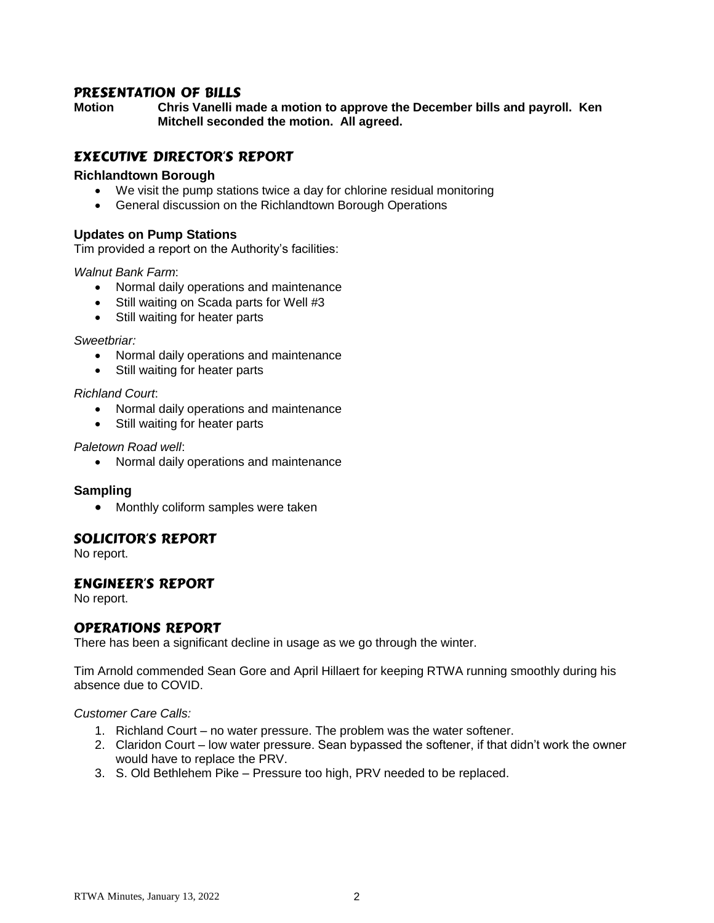# PRESENTATION OF BILLS

**Motion Chris Vanelli made a motion to approve the December bills and payroll. Ken Mitchell seconded the motion. All agreed.**

# EXECUTIVE DIRECTOR'S REPORT

## **Richlandtown Borough**

- We visit the pump stations twice a day for chlorine residual monitoring
- General discussion on the Richlandtown Borough Operations

## **Updates on Pump Stations**

Tim provided a report on the Authority's facilities:

## *Walnut Bank Farm*:

- Normal daily operations and maintenance
- Still waiting on Scada parts for Well #3
- Still waiting for heater parts

#### *Sweetbriar:*

- Normal daily operations and maintenance
- Still waiting for heater parts

## *Richland Court*:

- Normal daily operations and maintenance
- Still waiting for heater parts

## *Paletown Road well*:

Normal daily operations and maintenance

## **Sampling**

• Monthly coliform samples were taken

# SOLICITOR'S REPORT

No report.

# ENGINEER'S REPORT

No report.

# OPERATIONS REPORT

There has been a significant decline in usage as we go through the winter.

Tim Arnold commended Sean Gore and April Hillaert for keeping RTWA running smoothly during his absence due to COVID.

*Customer Care Calls:*

- 1. Richland Court no water pressure. The problem was the water softener.
- 2. Claridon Court low water pressure. Sean bypassed the softener, if that didn't work the owner would have to replace the PRV.
- 3. S. Old Bethlehem Pike Pressure too high, PRV needed to be replaced.